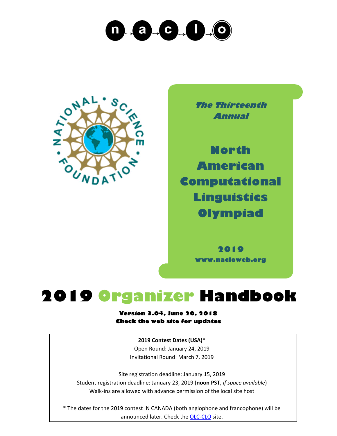



**The Thirteenth Annual**

**North American Computational Linguistics Olympiad**

> **2019 www.nacloweb.org**

## **2019 Organizer Handbook**

#### **Version 3.04, June 20, 2018 Check the web site for updates**

**2019 Contest Dates (USA)\*** Open Round: January 24, 2019 Invitational Round: March 7, 2019

Site registration deadline: January 15, 2019 Student registration deadline: January 23, 2019 (**noon PST**, *if space available*) Walk-ins are allowed with advance permission of the local site host

\* The dates for the 2019 contest IN CANADA (both anglophone and francophone) will be announced later. Check the [OLC-CLO](https://olc-clo.org/) site.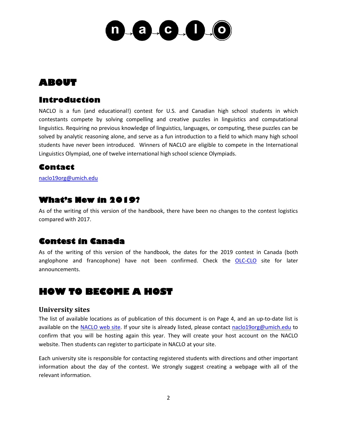

## **ABOUT**

## **Introduction**

NACLO is a fun (and educational!) contest for U.S. and Canadian high school students in which contestants compete by solving compelling and creative puzzles in linguistics and computational linguistics. Requiring no previous knowledge of linguistics, languages, or computing, these puzzles can be solved by analytic reasoning alone, and serve as a fun introduction to a field to which many high school students have never been introduced. Winners of NACLO are eligible to compete in the International Linguistics Olympiad, one of twelve international high school science Olympiads.

## **Contact**

[naclo19org@umich.edu](mailto:naclo19org@umich.edu)

## **What's New in 2019?**

As of the writing of this version of the handbook, there have been no changes to the contest logistics compared with 2017.

## **Contest in Canada**

As of the writing of this version of the handbook, the dates for the 2019 contest in Canada (both anglophone and francophone) have not been confirmed. Check the [OLC-CLO](https://olc-clo.org/) site for later announcements.

## **HOW TO BECOME A HOST**

#### **University sites**

The list of available locations as of publication of this document is on Page 4, and an up-to-date list is available on the [NACLO web site.](http://www.nacloweb.org/) If your site is already listed, please contact [naclo19org@umich.edu](mailto:naclo19org@umich.edu) to confirm that you will be hosting again this year. They will create your host account on the NACLO website. Then students can register to participate in NACLO at your site.

Each university site is responsible for contacting registered students with directions and other important information about the day of the contest. We strongly suggest creating a webpage with all of the relevant information.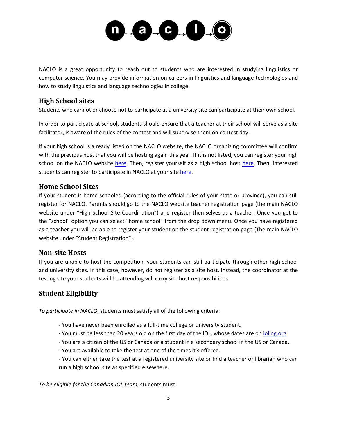

NACLO is a great opportunity to reach out to students who are interested in studying linguistics or computer science. You may provide information on careers in linguistics and language technologies and how to study linguistics and language technologies in college.

#### **High School sites**

Students who cannot or choose not to participate at a university site can participate at their own school.

In order to participate at school, students should ensure that a teacher at their school will serve as a site facilitator, is aware of the rules of the contest and will supervise them on contest day.

If your high school is already listed on the NACLO website, the NACLO organizing committee will confirm with the previous host that you will be hosting again this year. If it is not listed, you can register your high school on the NACLO website [here.](http://nacloweb.org/register_highhost.php) Then, register yourself as a high school host here. Then, interested students can register to participate in NACLO at your site [here.](http://nacloweb.org/register_student.php)

#### **Home School Sites**

If your student is home schooled (according to the official rules of your state or province), you can still register for NACLO. Parents should go to the NACLO website teacher registration page (the main NACLO website under "High School Site Coordination") and register themselves as a teacher. Once you get to the "school" option you can select "home school" from the drop down menu. Once you have registered as a teacher you will be able to register your student on the student registration page (The main NACLO website under "Student Registration").

#### **Non-site Hosts**

If you are unable to host the competition, your students can still participate through other high school and university sites. In this case, however, do not register as a site host. Instead, the coordinator at the testing site your students will be attending will carry site host responsibilities.

#### **Student Eligibility**

*To participate in NACLO*, students must satisfy all of the following criteria:

- You have never been enrolled as a full-time college or university student.
- You must be less than 20 years old on the first day of the IOL, whose dates are on [ioling.org](http://ioling.org/)
- You are a citizen of the US or Canada or a student in a secondary school in the US or Canada.
- You are available to take the test at one of the times it's offered.

- You can either take the test at a registered university site or find a teacher or librarian who can run a high school site as specified elsewhere.

*To be eligible for the Canadian IOL team*, students must: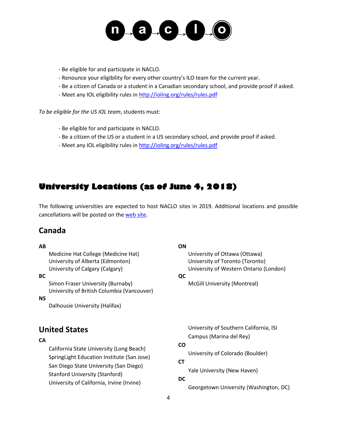

- Be eligible for and participate in NACLO.

- Renounce your eligibility for every other country's ILO team for the current year.
- Be a citizen of Canada or a student in a Canadian secondary school, and provide proof if asked.
- Meet any IOL eligibility rules i[n http://ioling.org/rules/rules.pdf](http://ioling.org/rules/rules.pdf)

*To be eligible for the US IOL team*, students must:

- Be eligible for and participate in NACLO.
- Be a citizen of the US or a student in a US secondary school, and provide proof if asked.
- Meet any IOL eligibility rules i[n http://ioling.org/rules/rules.pdf](http://ioling.org/rules/rules.pdf)

## **University Locations (as of June 4, 2018)**

The following universities are expected to host NACLO sites in 2019. Additional locations and possible cancellations will be posted on th[e web site.](http://www.nacloweb.org/university_sites.php)

### **Canada**

#### **AB**

Medicine Hat College (Medicine Hat) University of Alberta (Edmonton) University of Calgary (Calgary)

#### **BC**

Simon Fraser University (Burnaby) University of British Columbia (Vancouver)

#### **NS**

Dalhousie University (Halifax)

## **United States**

#### **CA**

California State University (Long Beach) SpringLight Education Institute (San Jose) San Diego State University (San Diego) Stanford University (Stanford) University of California, Irvine (Irvine)

#### **ON**

University of Ottawa (Ottawa) University of Toronto (Toronto) University of Western Ontario (London)

#### **QC**

McGill University (Montreal)

University of Southern California, ISI Campus (Marina del Rey)

#### **CO**

University of Colorado (Boulder)

## **CT**

Yale University (New Haven)

#### **DC**

Georgetown University (Washington, DC)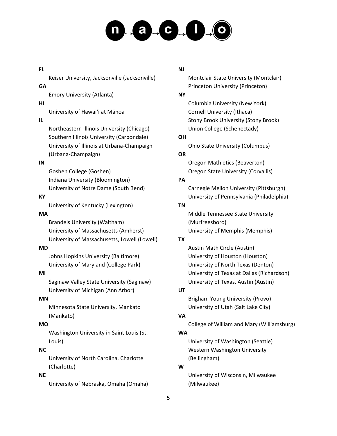# $\Box \bullet \Box \bullet \bullet \Box \bullet \Box \bullet \Box \bullet \Box \bullet \Box$

#### **FL**

Keiser University, Jacksonville (Jacksonville)

#### **GA**

Emory University (Atlanta)

#### **HI**

University of Hawaiʻi at Mānoa

#### **IL**

Northeastern Illinois University (Chicago) Southern Illinois University (Carbondale) University of Illinois at Urbana-Champaign (Urbana-Champaign)

#### **IN**

Goshen College (Goshen) Indiana University (Bloomington) University of Notre Dame (South Bend)

#### **KY**

University of Kentucky (Lexington)

#### **MA**

Brandeis University (Waltham) University of Massachusetts (Amherst) University of Massachusetts, Lowell (Lowell)

#### **MD**

Johns Hopkins University (Baltimore) University of Maryland (College Park)

#### **MI**

Saginaw Valley State University (Saginaw) University of Michigan (Ann Arbor)

#### **MN**

Minnesota State University, Mankato (Mankato)

#### **MO**

Washington University in Saint Louis (St. Louis)

#### **NC**

University of North Carolina, Charlotte (Charlotte)

#### **NE**

University of Nebraska, Omaha (Omaha)

#### **NJ**

Montclair State University (Montclair) Princeton University (Princeton)

#### **NY**

Columbia University (New York) Cornell University (Ithaca) Stony Brook University (Stony Brook) Union College (Schenectady)

#### **OH**

Ohio State University (Columbus)

#### **OR**

Oregon Mathletics (Beaverton) Oregon State University (Corvallis)

#### **PA**

Carnegie Mellon University (Pittsburgh) University of Pennsylvania (Philadelphia)

#### **TN**

Middle Tennessee State University (Murfreesboro) University of Memphis (Memphis)

#### **TX**

Austin Math Circle (Austin) University of Houston (Houston) University of North Texas (Denton) University of Texas at Dallas (Richardson) University of Texas, Austin (Austin)

#### **UT**

Brigham Young University (Provo) University of Utah (Salt Lake City)

#### **VA**

College of William and Mary (Williamsburg)

#### **WA**

University of Washington (Seattle) Western Washington University (Bellingham)

#### **W**

University of Wisconsin, Milwaukee (Milwaukee)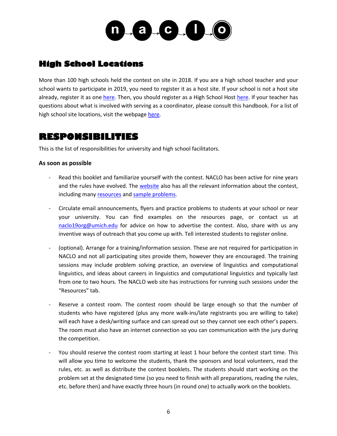

## **High School Locations**

More than 100 high schools held the contest on site in 2018. If you are a high school teacher and your school wants to participate in 2019, you need to register it as a host site. If your school is not a host site already, register it as one [here.](http://nacloweb.org/register_highsite.php) Then, you should register as a High School Host [here.](http://nacloweb.org/register_highhost.php) If your teacher has questions about what is involved with serving as a coordinator, please consult this handbook. For a list of high school site locations, visit the webpage [here.](http://www.nacloweb.org/high_school_sites.php)

## **RESPONSIBILITIES**

This is the list of responsibilities for university and high school facilitators.

#### **As soon as possible**

- Read this booklet and familiarize yourself with the contest. NACLO has been active for nine years and the rules have evolved. The [website](http://nacloweb.org/) also has all the relevant information about the contest, including many [resources](http://nacloweb.org/resources.php) and [sample problems.](http://nacloweb.org/practice.php)
- Circulate email announcements, flyers and practice problems to students at your school or near your university. You can find examples on the resources page, or contact us at [naclo19org@umich.edu](mailto:naclo19org@umich.edu) for advice on how to advertise the contest. Also, share with us any inventive ways of outreach that you come up with. Tell interested students to register online.
- (optional). Arrange for a training/information session. These are not required for participation in NACLO and not all participating sites provide them, however they are encouraged. The training sessions may include problem solving practice, an overview of linguistics and computational linguistics, and ideas about careers in linguistics and computational linguistics and typically last from one to two hours. The NACLO web site has instructions for running such sessions under the "Resources" tab.
- Reserve a contest room. The contest room should be large enough so that the number of students who have registered (plus any more walk-ins/late registrants you are willing to take) will each have a desk/writing surface and can spread out so they cannot see each other's papers. The room must also have an internet connection so you can communication with the jury during the competition.
- You should reserve the contest room starting at least 1 hour before the contest start time. This will allow you time to welcome the students, thank the sponsors and local volunteers, read the rules, etc. as well as distribute the contest booklets. The students should start working on the problem set at the designated time (so you need to finish with all preparations, reading the rules, etc. before then) and have exactly three hours (in round one) to actually work on the booklets.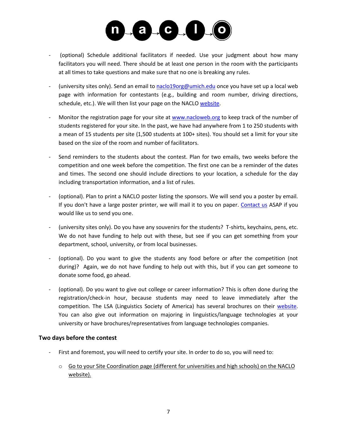

- (optional) Schedule additional facilitators if needed. Use your judgment about how many facilitators you will need. There should be at least one person in the room with the participants at all times to take questions and make sure that no one is breaking any rules.
- (university sites only). Send an email to [naclo19org@umich.edu](mailto:naclo19org@umich.edu) once you have set up a local web page with information for contestants (e.g., building and room number, driving directions, schedule, etc.). We will then list your page on the NACL[O website.](http://nacloweb.org/university_sites.php)
- Monitor the registration page for your site at [www.nacloweb.org](http://www.nacloweb.org/) to keep track of the number of students registered for your site. In the past, we have had anywhere from 1 to 250 students with a mean of 15 students per site (1,500 students at 100+ sites). You should set a limit for your site based on the size of the room and number of facilitators.
- Send reminders to the students about the contest. Plan for two emails, two weeks before the competition and one week before the competition. The first one can be a reminder of the dates and times. The second one should include directions to your location, a schedule for the day including transportation information, and a list of rules.
- (optional). Plan to print a NACLO poster listing the sponsors. We will send you a poster by email. If you don't have a large poster printer, we will mail it to you on paper. [Contact us](mailto:naclo19org@umich.edu) ASAP if you would like us to send you one.
- (university sites only). Do you have any souvenirs for the students? T-shirts, keychains, pens, etc. We do not have funding to help out with these, but see if you can get something from your department, school, university, or from local businesses.
- (optional). Do you want to give the students any food before or after the competition (not during)? Again, we do not have funding to help out with this, but if you can get someone to donate some food, go ahead.
- (optional). Do you want to give out college or career information? This is often done during the registration/check-in hour, because students may need to leave immediately after the competition. The LSA (Linguistics Society of America) has several brochures on their [website.](http://www.linguisticsociety.org/what-linguistics) You can also give out information on majoring in linguistics/language technologies at your university or have brochures/representatives from language technologies companies.

#### **Two days before the contest**

- First and foremost, you will need to certify your site. In order to do so, you will need to:
	- o Go to your Site Coordination page (different for universities and high schools) on the NACLO website).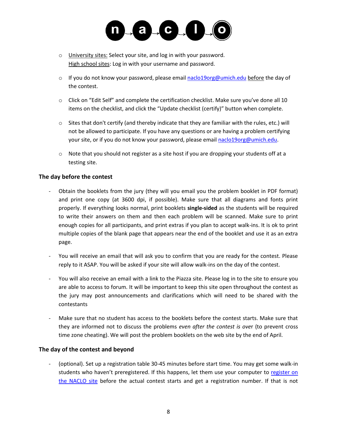

- o University sites: Select your site, and log in with your password. High school sites: Log in with your username and password.
- $\circ$  If you do not know your password, please emai[l naclo19org@umich.edu](mailto:naclo19org@umich.edu) before the day of the contest.
- $\circ$  Click on "Edit Self" and complete the certification checklist. Make sure you've done all 10 items on the checklist, and click the "Update checklist (certify)" button when complete.
- o Sites that don't certify (and thereby indicate that they are familiar with the rules, etc.) will not be allowed to participate. If you have any questions or are having a problem certifying your site, or if you do not know your password, please email [naclo19org@umich.edu.](mailto:naclo19org@umich.edu)
- $\circ$  Note that you should not register as a site host if you are dropping your students off at a testing site.

#### **The day before the contest**

- Obtain the booklets from the jury (they will you email you the problem booklet in PDF format) and print one copy (at 3600 dpi, if possible). Make sure that all diagrams and fonts print properly. If everything looks normal, print booklets **single-sided** as the students will be required to write their answers on them and then each problem will be scanned. Make sure to print enough copies for all participants, and print extras if you plan to accept walk-ins. It is ok to print multiple copies of the blank page that appears near the end of the booklet and use it as an extra page.
- You will receive an email that will ask you to confirm that you are ready for the contest. Please reply to it ASAP. You will be asked if your site will allow walk-ins on the day of the contest.
- You will also receive an email with a link to the Piazza site. Please log in to the site to ensure you are able to access to forum. It will be important to keep this site open throughout the contest as the jury may post announcements and clarifications which will need to be shared with the contestants
- Make sure that no student has access to the booklets before the contest starts. Make sure that they are informed not to discuss the problems *even after the contest is ove*r (to prevent cross time zone cheating). We will post the problem booklets on the web site by the end of April.

#### **The day of the contest and beyond**

(optional). Set up a registration table 30-45 minutes before start time. You may get some walk-in students who haven't preregistered. If this happens, let them use your computer to register on [the NACLO site](http://nacloweb.org/register_student.php) before the actual contest starts and get a registration number. If that is not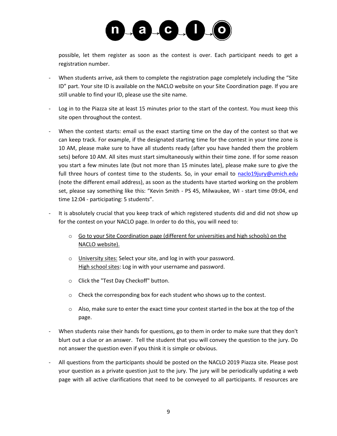

possible, let them register as soon as the contest is over. Each participant needs to get a registration number.

- When students arrive, ask them to complete the registration page completely including the "Site" ID" part. Your site ID is available on the NACLO website on your Site Coordination page. If you are still unable to find your ID, please use the site name.
- Log in to the Piazza site at least 15 minutes prior to the start of the contest. You must keep this site open throughout the contest.
- When the contest starts: email us the exact starting time on the day of the contest so that we can keep track. For example, if the designated starting time for the contest in your time zone is 10 AM, please make sure to have all students ready (after you have handed them the problem sets) before 10 AM. All sites must start simultaneously within their time zone. If for some reason you start a few minutes late (but not more than 15 minutes late), please make sure to give the full three hours of contest time to the students. So, in your email to [naclo19jury@umich.edu](mailto:naclo19jury@umich.edu) (note the different email address), as soon as the students have started working on the problem set, please say something like this: "Kevin Smith - PS 45, Milwaukee, WI - start time 09:04, end time 12:04 - participating: 5 students".
- It is absolutely crucial that you keep track of which registered students did and did not show up for the contest on your NACLO page. In order to do this, you will need to:
	- o Go to your Site Coordination page (different for universities and high schools) on the NACLO website).
	- o University sites: Select your site, and log in with your password. High school sites: Log in with your username and password.
	- o Click the "Test Day Checkoff" button.
	- $\circ$  Check the corresponding box for each student who shows up to the contest.
	- $\circ$  Also, make sure to enter the exact time your contest started in the box at the top of the page.
- When students raise their hands for questions, go to them in order to make sure that they don't blurt out a clue or an answer. Tell the student that you will convey the question to the jury. Do not answer the question even if you think it is simple or obvious.
- All questions from the participants should be posted on the NACLO 2019 Piazza site. Please post your question as a private question just to the jury. The jury will be periodically updating a web page with all active clarifications that need to be conveyed to all participants. If resources are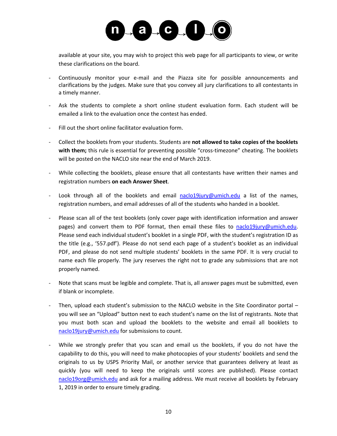

available at your site, you may wish to project this web page for all participants to view, or write these clarifications on the board.

- Continuously monitor your e-mail and the Piazza site for possible announcements and clarifications by the judges. Make sure that you convey all jury clarifications to all contestants in a timely manner.
- Ask the students to complete a short online student evaluation form. Each student will be emailed a link to the evaluation once the contest has ended.
- Fill out the short online facilitator evaluation form.
- Collect the booklets from your students. Students are **not allowed to take copies of the booklets with them;** this rule is essential for preventing possible "cross-timezone" cheating. The booklets will be posted on the NACLO site near the end of March 2019.
- While collecting the booklets, please ensure that all contestants have written their names and registration numbers **on each Answer Sheet**.
- Look through all of the booklets and email  $nac|o19|ury@umich.edu$  a list of the names, registration numbers, and email addresses of all of the students who handed in a booklet.
- Please scan all of the test booklets (only cover page with identification information and answer pages) and convert them to PDF format, then email these files to [naclo19jury@umich.edu.](mailto:naclo19jury@umich.edu) Please send each individual student's booklet in a single PDF, with the student's registration ID as the title (e.g., '557.pdf'). Please do not send each page of a student's booklet as an individual PDF, and please do not send multiple students' booklets in the same PDF. It is very crucial to name each file properly. The jury reserves the right not to grade any submissions that are not properly named.
- Note that scans must be legible and complete. That is, all answer pages must be submitted, even if blank or incomplete.
- Then, upload each student's submission to the NACLO website in the Site Coordinator portal you will see an "Upload" button next to each student's name on the list of registrants. Note that you must both scan and upload the booklets to the website and email all booklets to [naclo19jury@umich.edu](mailto:naclo19jury@umich.edu) for submissions to count.
- While we strongly prefer that you scan and email us the booklets, if you do not have the capability to do this, you will need to make photocopies of your students' booklets and send the originals to us by USPS Priority Mail, or another service that guarantees delivery at least as quickly (you will need to keep the originals until scores are published). Please contact [naclo19org@umich.edu](mailto:naclo19org@umich.edu) and ask for a mailing address. We must receive all booklets by February 1, 2019 in order to ensure timely grading.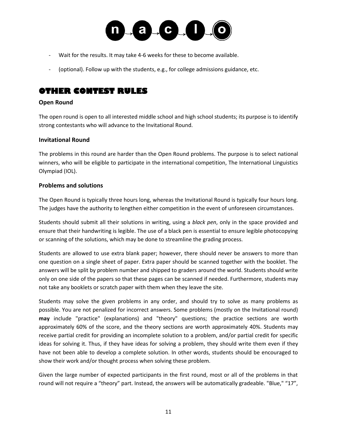

- Wait for the results. It may take 4-6 weeks for these to become available.
- (optional). Follow up with the students, e.g., for college admissions guidance, etc.

## **OTHER CONTEST RULES**

#### **Open Round**

The open round is open to all interested middle school and high school students; its purpose is to identify strong contestants who will advance to the Invitational Round.

#### **Invitational Round**

The problems in this round are harder than the Open Round problems. The purpose is to select national winners, who will be eligible to participate in the international competition, The International Linguistics Olympiad (IOL).

#### **Problems and solutions**

The Open Round is typically three hours long, whereas the Invitational Round is typically four hours long. The judges have the authority to lengthen either competition in the event of unforeseen circumstances.

Students should submit all their solutions in writing, using a *black pen*, only in the space provided and ensure that their handwriting is legible. The use of a black pen is essential to ensure legible photocopying or scanning of the solutions, which may be done to streamline the grading process.

Students are allowed to use extra blank paper; however, there should never be answers to more than one question on a single sheet of paper. Extra paper should be scanned together with the booklet. The answers will be split by problem number and shipped to graders around the world. Students should write only on one side of the papers so that these pages can be scanned if needed. Furthermore, students may not take any booklets or scratch paper with them when they leave the site.

Students may solve the given problems in any order, and should try to solve as many problems as possible. You are not penalized for incorrect answers. Some problems (mostly on the Invitational round) **may** include "practice" (explanations) and "theory" questions; the practice sections are worth approximately 60% of the score, and the theory sections are worth approximately 40%. Students may receive partial credit for providing an incomplete solution to a problem, and/or partial credit for specific ideas for solving it. Thus, if they have ideas for solving a problem, they should write them even if they have not been able to develop a complete solution. In other words, students should be encouraged to show their work and/or thought process when solving these problem.

Given the large number of expected participants in the first round, most or all of the problems in that round will not require a "theory" part. Instead, the answers will be automatically gradeable. "Blue," "17",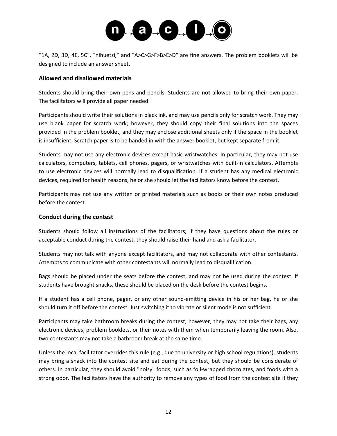

"1A, 2D, 3D, 4E, 5C", "nihuetzi," and "A>C>G>F>B>E>D" are fine answers. The problem booklets will be designed to include an answer sheet.

#### **Allowed and disallowed materials**

Students should bring their own pens and pencils. Students are **not** allowed to bring their own paper. The facilitators will provide all paper needed.

Participants should write their solutions in black ink, and may use pencils only for scratch work. They may use blank paper for scratch work; however, they should copy their final solutions into the spaces provided in the problem booklet, and they may enclose additional sheets only if the space in the booklet is insufficient. Scratch paper is to be handed in with the answer booklet, but kept separate from it.

Students may not use any electronic devices except basic wristwatches. In particular, they may not use calculators, computers, tablets, cell phones, pagers, or wristwatches with built-in calculators. Attempts to use electronic devices will normally lead to disqualification. If a student has any medical electronic devices, required for health reasons, he or she should let the facilitators know before the contest.

Participants may not use any written or printed materials such as books or their own notes produced before the contest.

#### **Conduct during the contest**

Students should follow all instructions of the facilitators; if they have questions about the rules or acceptable conduct during the contest, they should raise their hand and ask a facilitator.

Students may not talk with anyone except facilitators, and may not collaborate with other contestants. Attempts to communicate with other contestants will normally lead to disqualification.

Bags should be placed under the seats before the contest, and may not be used during the contest. If students have brought snacks, these should be placed on the desk before the contest begins.

If a student has a cell phone, pager, or any other sound-emitting device in his or her bag, he or she should turn it off before the contest. Just switching it to vibrate or silent mode is not sufficient.

Participants may take bathroom breaks during the contest; however, they may not take their bags, any electronic devices, problem booklets, or their notes with them when temporarily leaving the room. Also, two contestants may not take a bathroom break at the same time.

Unless the local facilitator overrides this rule (e.g., due to university or high school regulations), students may bring a snack into the contest site and eat during the contest, but they should be considerate of others. In particular, they should avoid "noisy" foods, such as foil-wrapped chocolates, and foods with a strong odor. The facilitators have the authority to remove any types of food from the contest site if they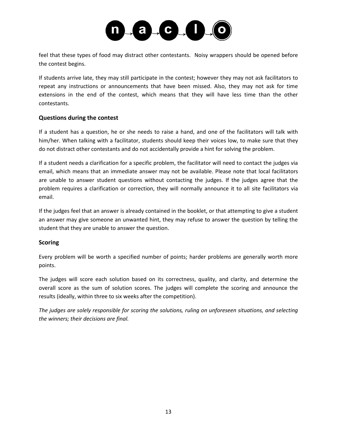

feel that these types of food may distract other contestants. Noisy wrappers should be opened before the contest begins.

If students arrive late, they may still participate in the contest; however they may not ask facilitators to repeat any instructions or announcements that have been missed. Also, they may not ask for time extensions in the end of the contest, which means that they will have less time than the other contestants.

#### **Questions during the contest**

If a student has a question, he or she needs to raise a hand, and one of the facilitators will talk with him/her. When talking with a facilitator, students should keep their voices low, to make sure that they do not distract other contestants and do not accidentally provide a hint for solving the problem.

If a student needs a clarification for a specific problem, the facilitator will need to contact the judges via email, which means that an immediate answer may not be available. Please note that local facilitators are unable to answer student questions without contacting the judges. If the judges agree that the problem requires a clarification or correction, they will normally announce it to all site facilitators via email.

If the judges feel that an answer is already contained in the booklet, or that attempting to give a student an answer may give someone an unwanted hint, they may refuse to answer the question by telling the student that they are unable to answer the question.

#### **Scoring**

Every problem will be worth a specified number of points; harder problems are generally worth more points.

The judges will score each solution based on its correctness, quality, and clarity, and determine the overall score as the sum of solution scores. The judges will complete the scoring and announce the results (ideally, within three to six weeks after the competition).

*The judges are solely responsible for scoring the solutions, ruling on unforeseen situations, and selecting the winners; their decisions are final.*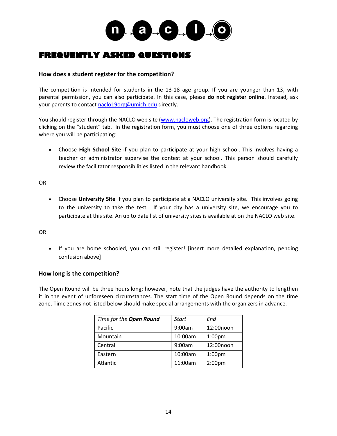

## **FREQUENTLY ASKED QUESTIONS**

#### **How does a student register for the competition?**

The competition is intended for students in the 13-18 age group. If you are younger than 13, with parental permission, you can also participate. In this case, please **do not register online**. Instead, ask your parents to contact [naclo19org@umich.edu](mailto:naclo19org@umich.edu) directly.

You should register through the NACLO web site [\(www.nacloweb.org\)](http://www.nacloweb.org/). The registration form is located by clicking on the "student" tab. In the registration form, you must choose one of three options regarding where you will be participating:

 Choose **High School Site** if you plan to participate at your high school. This involves having a teacher or administrator supervise the contest at your school. This person should carefully review the facilitator responsibilities listed in the relevant handbook.

OR

 Choose **University Site** if you plan to participate at a NACLO university site. This involves going to the university to take the test. If your city has a university site, we encourage you to participate at this site. An up to date list of university sites is available at on the NACLO web site.

#### OR

• If you are home schooled, you can still register! [insert more detailed explanation, pending confusion above]

#### **How long is the competition?**

The Open Round will be three hours long; however, note that the judges have the authority to lengthen it in the event of unforeseen circumstances. The start time of the Open Round depends on the time zone. Time zones not listed below should make special arrangements with the organizers in advance.

| Time for the Open Round | Start   | End                |
|-------------------------|---------|--------------------|
| Pacific                 | 9:00am  | 12:00noon          |
| Mountain                | 10:00am | 1:00 <sub>pm</sub> |
| Central                 | 9:00am  | 12:00noon          |
| Eastern                 | 10:00am | 1:00 <sub>pm</sub> |
| Atlantic                | 11:00am | 2:00 <sub>pm</sub> |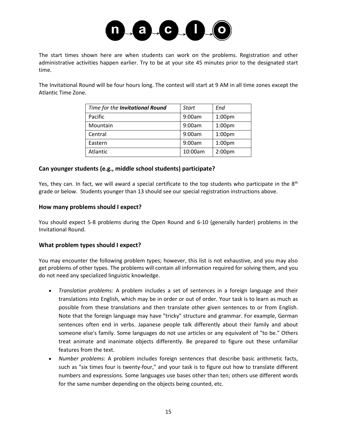

The start times shown here are when students can work on the problems. Registration and other administrative activities happen earlier. Try to be at your site 45 minutes prior to the designated start time.

The Invitational Round will be four hours long. The contest will start at 9 AM in all time zones except the Atlantic Time Zone.

| Time for the Invitational Round | <b>Start</b> | End                |
|---------------------------------|--------------|--------------------|
| Pacific                         | 9:00am       | 1:00 <sub>pm</sub> |
| Mountain                        | 9:00am       | 1:00 <sub>pm</sub> |
| Central                         | 9:00am       | 1:00 <sub>pm</sub> |
| Eastern                         | 9:00am       | 1:00 <sub>pm</sub> |
| Atlantic                        | 10:00am      | 2:00 <sub>pm</sub> |

#### **Can younger students (e.g., middle school students) participate?**

Yes, they can. In fact, we will award a special certificate to the top students who participate in the 8<sup>th</sup> grade or below. Students younger than 13 should see our special registration instructions above.

#### **How many problems should I expect?**

You should expect 5-8 problems during the Open Round and 6-10 (generally harder) problems in the Invitational Round.

#### **What problem types should I expect?**

You may encounter the following problem types; however, this list is not exhaustive, and you may also get problems of other types. The problems will contain all information required for solving them, and you do not need any specialized linguistic knowledge.

- *Translation problems:* A problem includes a set of sentences in a foreign language and their translations into English, which may be in order or out of order. Your task is to learn as much as possible from these translations and then translate other given sentences to or from English. Note that the foreign language may have "tricky" structure and grammar. For example, German sentences often end in verbs. Japanese people talk differently about their family and about someone else's family. Some languages do not use articles or any equivalent of "to be." Others treat animate and inanimate objects differently. Be prepared to figure out these unfamiliar features from the text.
- *Number problems:* A problem includes foreign sentences that describe basic arithmetic facts, such as "six times four is twenty-four," and your task is to figure out how to translate different numbers and expressions. Some languages use bases other than ten; others use different words for the same number depending on the objects being counted, etc.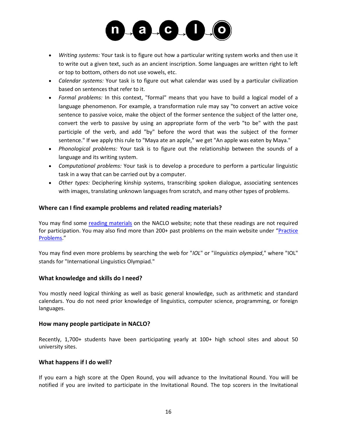

- *Writing systems:* Your task is to figure out how a particular writing system works and then use it to write out a given text, such as an ancient inscription. Some languages are written right to left or top to bottom, others do not use vowels, etc.
- *Calendar systems:* Your task is to figure out what calendar was used by a particular civilization based on sentences that refer to it.
- *Formal problems:* In this context, "formal" means that you have to build a logical model of a language phenomenon. For example, a transformation rule may say "to convert an active voice sentence to passive voice, make the object of the former sentence the subject of the latter one, convert the verb to passive by using an appropriate form of the verb "to be" with the past participle of the verb, and add "by" before the word that was the subject of the former sentence." If we apply this rule to "Maya ate an apple," we get "An apple was eaten by Maya."
- *Phonological problems:* Your task is to figure out the relationship between the sounds of a language and its writing system.
- *Computational problems:* Your task is to develop a procedure to perform a particular linguistic task in a way that can be carried out by a computer.
- *Other types:* Deciphering kinship systems, transcribing spoken dialogue, associating sentences with images, translating unknown languages from scratch, and many other types of problems.

#### **Where can I find example problems and related reading materials?**

You may find some [reading materials](http://nacloweb.org/resources.php) on the NACLO website; note that these readings are not required for participation. You may also find more than 200+ past problems on the main website under "[Practice](http://nacloweb.org/practice.php)  [Problems](http://nacloweb.org/practice.php)."

You may find even more problems by searching the web for "*IOL*" or "*linguistics olympiad*," where "IOL" stands for "International Linguistics Olympiad."

#### **What knowledge and skills do I need?**

You mostly need logical thinking as well as basic general knowledge, such as arithmetic and standard calendars. You do not need prior knowledge of linguistics, computer science, programming, or foreign languages.

#### **How many people participate in NACLO?**

Recently, 1,700+ students have been participating yearly at 100+ high school sites and about 50 university sites.

#### **What happens if I do well?**

If you earn a high score at the Open Round, you will advance to the Invitational Round. You will be notified if you are invited to participate in the Invitational Round. The top scorers in the Invitational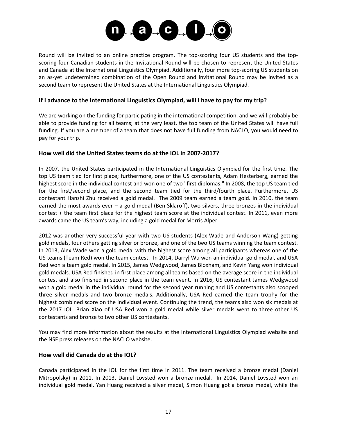

Round will be invited to an online practice program. The top-scoring four US students and the topscoring four Canadian students in the Invitational Round will be chosen to represent the United States and Canada at the International Linguistics Olympiad. Additionally, four more top-scoring US students on an as-yet undetermined combination of the Open Round and Invitational Round may be invited as a second team to represent the United States at the International Linguistics Olympiad.

#### **If I advance to the International Linguistics Olympiad, will I have to pay for my trip?**

We are working on the funding for participating in the international competition, and we will probably be able to provide funding for all teams; at the very least, the top team of the United States will have full funding. If you are a member of a team that does not have full funding from NACLO, you would need to pay for your trip.

#### **How well did the United States teams do at the IOL in 2007-2017?**

In 2007, the United States participated in the International Linguistics Olympiad for the first time. The top US team tied for first place; furthermore, one of the US contestants, Adam Hesterberg, earned the highest score in the individual contest and won one of two "first diplomas." In 2008, the top US team tied for the first/second place, and the second team tied for the third/fourth place. Furthermore, US contestant Hanzhi Zhu received a gold medal. The 2009 team earned a team gold. In 2010, the team earned the most awards ever – a gold medal (Ben Sklaroff), two silvers, three bronzes in the individual contest + the team first place for the highest team score at the individual contest. In 2011, even more awards came the US team's way, including a gold medal for Morris Alper.

2012 was another very successful year with two US students (Alex Wade and Anderson Wang) getting gold medals, four others getting silver or bronze, and one of the two US teams winning the team contest. In 2013, Alex Wade won a gold medal with the highest score among all participants whereas one of the US teams (Team Red) won the team contest. In 2014, Darryl Wu won an individual gold medal, and USA Red won a team gold medal. In 2015, James Wedgwood, James Bloxham, and Kevin Yang won individual gold medals. USA Red finished in first place among all teams based on the average score in the individual contest and also finished in second place in the team event. In 2016, US contestant James Wedgwood won a gold medal in the individual round for the second year running and US contestants also scooped three silver medals and two bronze medals. Additionally, USA Red earned the team trophy for the highest combined score on the individual event. Continuing the trend, the teams also won six medals at the 2017 IOL. Brian Xiao of USA Red won a gold medal while silver medals went to three other US contestants and bronze to two other US contestants.

You may find more information about the results at the International Linguistics Olympiad website and the NSF press releases on the NACLO website.

#### **How well did Canada do at the IOL?**

Canada participated in the IOL for the first time in 2011. The team received a bronze medal (Daniel Mitropolsky) in 2011. In 2013, Daniel Lovsted won a bronze medal. In 2014, Daniel Lovsted won an individual gold medal, Yan Huang received a silver medal, Simon Huang got a bronze medal, while the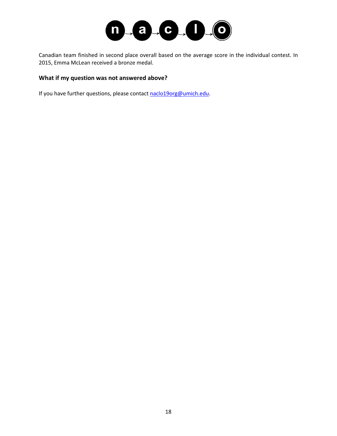

Canadian team finished in second place overall based on the average score in the individual contest. In 2015, Emma McLean received a bronze medal.

#### **What if my question was not answered above?**

If you have further questions, please contac[t naclo19org@umich.edu.](mailto:naclo19org@umich.edu)